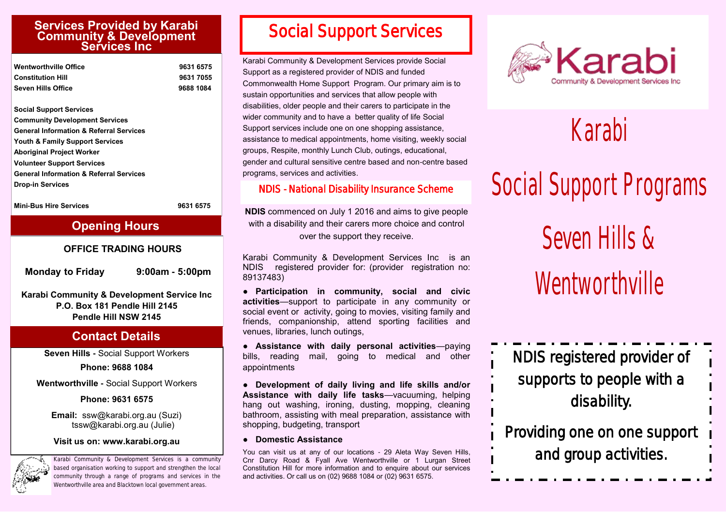#### **Services Provided by Karabi Community & Development Services Inc**

| <b>Wentworthville Office</b> | 9631 6575 |
|------------------------------|-----------|
| <b>Constitution Hill</b>     | 9631 7055 |
| <b>Seven Hills Office</b>    | 9688 1084 |

**Social Support Services Community Development Services General Information & Referral Services Youth & Family Support Services Aboriginal Project Worker Volunteer Support Services General Information & Referral Services Drop-in Services**

**Mini-Bus Hire Services 19631 6575** 

#### **Opening Hours**

#### **OFFICE TRADING HOURS**

**Monday to Friday 9:00am - 5:00pm**

**Karabi Community & Development Service Inc P.O. Box 181 Pendle Hill 2145 Pendle Hill NSW 2145**

#### **Contact Details**

**Seven Hills -** Social Support Workers

**Phone: 9688 1084**

**Wentworthville -** Social Support Workers

**Phone: 9631 6575**

 **Email:** ssw@karabi.org.au (Suzi) tssw@karabi.org.au (Julie)

**Visit us on: www.karabi.org.au**



Karabi Community & Development Services is a community based organisation working to support and strengthen the local community through a range of programs and services in the Wentworthville area and Blacktown local government areas.

### *Social Support Services*

Karabi Community & Development Services provide Social Support as a registered provider of NDIS and funded Commonwealth Home Support Program. Our primary aim is to sustain opportunities and services that allow people with disabilities, older people and their carers to participate in the wider community and to have a better quality of life Social Support services include one on one shopping assistance, assistance to medical appointments, home visiting, weekly social groups, Respite, monthly Lunch Club, outings, educational, gender and cultural sensitive centre based and non-centre based programs, services and activities.

#### *NDIS - National Disability Insurance Scheme*

**NDIS** commenced on July 1 2016 and aims to give people with a disability and their carers more choice and control over the support they receive.

Karabi Community & Development Services Inc is an NDIS registered provider for: (provider registration no: 89137483)

**● Participation in community, social and civic activities**—support to participate in any community or social event or activity, going to movies, visiting family and friends, companionship, attend sporting facilities and venues, libraries, lunch outings,

● **Assistance with daily personal activities**—paying bills, reading mail, going to medical and other appointments

● **Development of daily living and life skills and/or Assistance with daily life tasks**—vacuuming, helping hang out washing, ironing, dusting, mopping, cleaning bathroom, assisting with meal preparation, assistance with shopping, budgeting, transport

● **Domestic Assistance**

You can visit us at any of our locations - 29 Aleta Way Seven Hills, Cnr Darcy Road & Fyall Ave Wentworthville or 1 Lurgan Street Constitution Hill for more information and to enquire about our services and activities. Or call us on (02) 9688 1084 or (02) 9631 6575.



## Karabi

# Social Support Programs

Seven Hills & Wentworthville

NDIS registered provider of supports to people with a disability.

Providing one on one support and group activities.